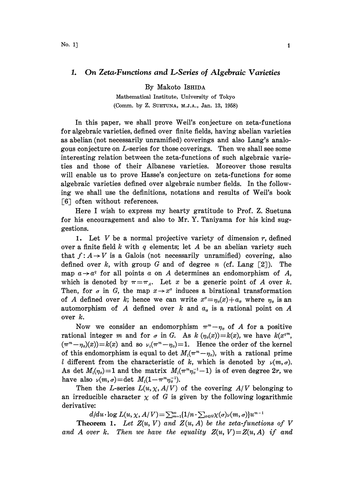## 1. On Zeta.Functions and L.Series of Algebraic Varieties

By Makoto ISHIDA

Mathematical Institute, University of Tokyo (Comm. by Z. SUETUNA, M.J.A., Jan. 13, 1958)

In this paper, we shall prove Weil's conjecture on zeta-functions for algebraic varieties, defined over finite fields, having abelian varieties as abelian (not necessarily unramified) coverings and also Lang's analogous conjecture on L-series for those coverings. Then we shall see some interesting relation between the zeta-functions of such algebraic varieties and those of their Albanese varieties. Moreover those results will enable us to prove Hasse's conjecture on zeta-functions for some algebraic varieties defined over algebraic number fields. In the following we shall use the definitions, notations and results of Weil's book  $\lceil 6 \rceil$  often without references.

Here <sup>I</sup> wish to express my hearty gratitude to Prof. Z. Suetuna for his encouragement and also to Mr. Y. Taniyama for his kind suggestions.

1. Let  $V$  be a normal projective variety of dimension  $r$ , defined over a finite field  $k$  with  $q$  elements; let  $A$  be an abelian variety such that  $f: A \rightarrow V$  is a Galois (not necessarily unramified) covering, also defined over k, with group G and of degree n (cf. Lang  $\lceil 2 \rceil$ ). The map  $a \rightarrow a^q$  for all points a on A determines an endomorphism of A, which is denoted by  $\pi = \pi_A$ . Let x be a generic point of A over k. Then, for  $\sigma$  in G, the map  $x \rightarrow x^{\sigma}$  induces a birational transformation of A defined over k; hence we can write  $x^{\sigma}=\eta_{\sigma}(x)+a_{\sigma}$  where  $\eta_{\sigma}$  is an automorphism of A defined over k and  $a<sub>o</sub>$  is a rational point on A over k.

Now we consider an endomorphism  $\pi^m - \eta_o$  of A for a positive rational integer m and for  $\sigma$  in G. As  $k(\eta_{\sigma}(x))=k(x)$ , we have  $k(x^{q^m})$ .  $(\pi^m-\eta_o)(x)=k(x)$  and so  $\nu_i(\pi^m-\eta_o)=1$ . Hence the order of the kernel of this endomorphism is equal to det  $M_1(\pi^m-\eta_o)$ , with a rational prime l different from the characteristic of k, which is denoted by  $\nu(m, \sigma)$ . As det  $M_l(\eta_o)=1$  and the matrix  $M_l(\pi^m \eta_o^{-1}-1)$  is of even degree 2r, we have also  $\nu(m,\sigma) = \det M_1(1-\pi^m \eta_{\sigma}^{-1}).$ 

Then the L-series  $L(u, \chi, A/V)$  of the covering  $A/V$  belonging to an irreducible character  $\chi$  of G is given by the following logarithmic derivative:

 $d/du \cdot \log L(u, \chi, A/V) = \sum_{m=1}^{\infty} [1/n \cdot \sum_{\sigma \in G} \chi(\sigma) \nu(m, \sigma)] u^{m-1}$ 

**Theorem 1.** Let  $Z(u, V)$  and  $Z(u, A)$  be the zeta-functions of V and A over k. Then we have the equality  $Z(u, V) = Z(u, A)$  if and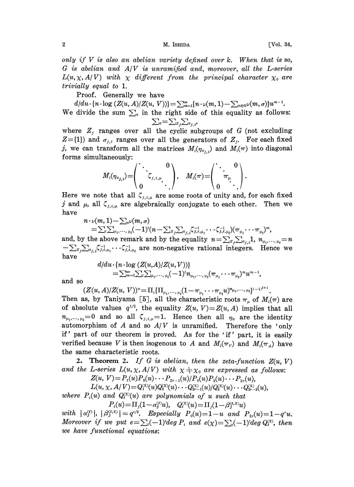2 M. ISHIDA [Vol. 34,

only if  $V$  is also an abelian variety defined over  $k$ . When that is so,  $G$  is abelian and  $A/V$  is unramified and, moreover, all the L-series  $L(u, \chi, A/V)$  with  $\chi$  different from the principal character  $\chi_0$  are trivially equal to 1.

Proof. Generally we have

 $d/du \cdot \{n \cdot \log (Z(u, A)/Z(u, V))\} = \sum_{m=1}^{\infty} \{n \cdot \nu(m, 1) - \sum_{\sigma \in G} \nu(m, \sigma)\}u^{m-1}.$ We divide the sum  $\sum_{\sigma}$  in the right side of this equality as follows:

 $\sum_{\sigma} = \sum_{z_j} \sum_{\sigma_{j,i}}$ , where  $Z_j$  ranges over all the cyclic subgroups of G (not excluding  $Z=[1]$  and  $\sigma_{j,i}$  ranges over all the generators of  $Z_j$ . For each fixed j, we can transform all the matrices  $M_i(\eta_{\sigma_{i,j}})$  and  $M_i(\pi)$  into diagonal forms simultaneously:

$$
M_{\iota}(\eta_{\sigma_{j,\iota}})=\hspace{-1mm}\begin{pmatrix} \cdot & & 0 \\ & \zeta_{\jmath,\iota,\mu} \\ 0 & & \cdot \end{pmatrix}, \quad M_{\iota}(\pi)=\hspace{-1mm}\begin{pmatrix} \cdot & & 0 \\ & \pi_{\mu} \\ 0 & & \cdot \end{pmatrix}.
$$

Here we note that all  $\zeta_{j,i,\mu}$  are some roots of unity and, for each fixed j and  $\mu$ , all  $\zeta_{j,i,\mu}$  are algebraically conjugate to each other. Then we have

$$
n \cdot \nu(m, 1) - \sum_{\sigma} \nu(m, \sigma) - \sum_{\sigma} \nu(m, \sigma) - \sum_{\sigma} \nu(m, \sigma) - \sum_{\sigma} \nu(m, \sigma) - \sum_{\sigma} \nu(m, \sigma) - \sum_{\sigma} \nu(m, \sigma) - \sum_{\sigma} \nu(m, \sigma) - \sum_{\sigma} \nu(m, \sigma) - \sum_{\sigma} \nu(m, \sigma) - \sum_{\sigma} \nu(m, \sigma) - \sum_{\sigma} \nu(m, \sigma) - \sum_{\sigma} \nu(m, \sigma) - \sum_{\sigma} \nu(m, \sigma) - \sum_{\sigma} \nu(m, \sigma) - \sum_{\sigma} \nu(m, \sigma) - \sum_{\sigma} \nu(m, \sigma) - \sum_{\sigma} \nu(m, \sigma) - \sum_{\sigma} \nu(m, \sigma) - \sum_{\sigma} \nu(m, \sigma) - \sum_{\sigma} \nu(m, \sigma) - \sum_{\sigma} \nu(m, \sigma) - \sum_{\sigma} \nu(m, \sigma) - \sum_{\sigma} \nu(m, \sigma) - \sum_{\sigma} \nu(m, \sigma) - \sum_{\sigma} \nu(m, \sigma) - \sum_{\sigma} \nu(m, \sigma) - \sum_{\sigma} \nu(m, \sigma) - \sum_{\sigma} \nu(m, \sigma) - \sum_{\sigma} \nu(m, \sigma) - \sum_{\sigma} \nu(m, \sigma) - \sum_{\sigma} \nu(m, \sigma) - \sum_{\sigma} \nu(m, \sigma) - \sum_{\sigma} \nu(m, \sigma) - \sum_{\sigma} \nu(m, \sigma) - \sum_{\sigma} \nu(m, \sigma) - \sum_{\sigma} \nu(m, \sigma) - \sum_{\sigma} \nu(m, \sigma) - \sum_{\sigma} \nu(m, \sigma) - \sum_{\sigma} \nu(m, \sigma) - \sum_{\sigma} \nu(m, \sigma) - \sum_{\sigma} \nu(m, \sigma) - \sum_{\sigma} \nu(m, \sigma) - \sum_{\sigma} \nu(m, \sigma) - \sum_{\sigma} \nu(m, \sigma) - \sum_{\sigma} \nu(m, \sigma) - \sum_{\sigma} \nu(m, \sigma) - \sum_{\sigma} \nu(m, \sigma) - \sum_{\sigma} \nu(m, \sigma) - \sum_{\sigma} \nu(m, \sigma) - \sum_{\sigma} \nu(m, \sigma) - \sum_{\sigma} \nu(m, \sigma) - \sum_{\sigma} \nu(m, \sigma) - \sum_{\sigma} \nu(m, \sigma) - \sum_{\sigma}
$$

 $-\sum_{l}\sum_{\mu_1,\, \cdots,\, \mu_l} (-1)^{l} (n-\sum_{Z_j\sum_{\sigma_j,i} \zeta_{j,i,\mu_1}^{-1}} \!\!\!\cdots \!\!\!\cdot \zeta_{j,i,\mu_l}^{-1}) (\pi_{\mu_1} \!\!\!\cdots \!\!\!\cdot \pi_{\mu_l})^m,$ and, by the above remark and by the equality  $n=\sum_{z_j\sum_{\sigma_{j,i}}1, n_{\mu_1,\ldots,\mu_l}=n$  $-\sum_{z_j\sum_{\sigma_i,j} \zeta_{j,i,\mu_1}} \cdots \zeta_{j,i,\mu_k}^{-1}$  are non-negative rational integers. Hence we have

$$
\begin{aligned} d/du\!\cdot\!\{&n\!\cdot\!\log\left(Z(u\!,\!A)\!/\!Z(u,V)\right)\}\!\\ =&\!\sum_{m=1}^\infty\!\sum_{t\!\ge\!1,\!\ldots,\, \mu_t}\!\!(-1)^t n_{\mu_1,\ldots,\,\mu_t}\!(\pi_{\mu_1}\!\cdot\!\cdot\!\cdot\!\pi_{\mu_t})^m u^{m-1},\end{aligned}
$$

and so

 $(Z(u, A)/Z(u, V))^n = \prod_i \{\prod_{\mu_1, \dots, \mu_i} (1-\pi_{\mu_1} \cdots \pi_{\mu_i} u)^{n_{\mu_1, \dots, \mu_i}}\}^{(-1)^{i+1}}.$ 

Then as, by Taniyama [5], all the characteristic roots  $\pi_{\mu}$  of  $M_{\ell}(\pi)$  are of absolute values  $q^{1/2}$ , the equality  $Z(u, V)=Z(u, A)$  implies that all  $n_{\mu_1,\dots,\mu_t}=0$  and so all  $\zeta_{j,i,\mu}=1$ . Hence then all  $\eta_{\sigma}$  are the identity automorphism of A and so  $A/V$  is unramified. Therefore the 'only if' part of our theorem is proved. As for the 'if' part, it is easily verified because V is then isogenous to A and  $M_i(\pi_V)$  and  $M_i(\pi_A)$  have the same characteristic roos.

**2.** Theorem 2. If G is abelian, then the zeta-function  $Z(u, V)$ **2.** Theorem 2. If G is abelian, then the zeta-function  $Z(u, t)$  the L-series  $L(u, \chi, A/V)$  with  $\chi \neq \chi_0$  are expressed as follows:<br> $Z(u, V) = P_1(u)P_3(u) \cdots P_{2r-1}(u)/P_0(u)P_2(u) \cdots P_{2r}(u)$ ,

$$
Z(u, V) = P_1(u)P_3(u) \cdots P_{2r-1}(u)/P_0(u)P_2(u) \cdots P_{2r}(u),
$$

$$
L(u, \chi, A/V) = Q_1^{(\chi)}(u) Q_3^{(\chi)}(u) \cdots Q_{2r-1}^{(\chi)}(u) / Q_2^{(\chi)}(u) \cdots Q_{2r-2}^{(\chi)}(u),
$$

where  $P_t(u)$  and  $Q_t^{(x)}(u)$  are polynomials of u such that  $P_i(u) = \prod_j (1 - \alpha_j^{(t)} u), \quad Q_i^{(x)}(u) = \prod_j (1 - \beta_j^{(t,x)} u)$ 

with  $| \alpha_j^{(i)} |, | \beta_j^{(i,x)} | = q^{i/2}.$  Especially  $P_0(u)=1-u$  and  $P_{2r}(u)=1-q^ru.$ Moreover if we put  $e=\sum_{t}(-1)^{t}deg P_{t}$  and  $e(\chi)=\sum_{t}(-1)^{t}deg Q_{t}^{(\chi)}$ , then we have functional equations: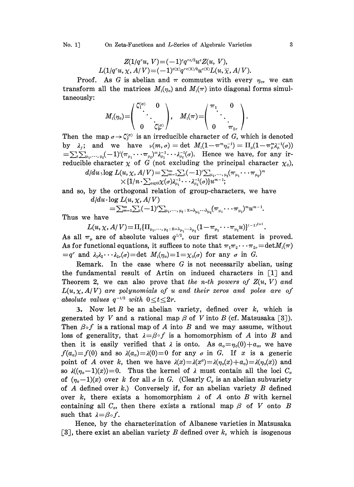## No. 1] On Zeta-Functions and L-Series of Algebraic Varieties 3

$$
Z(1/q^ru, V) = (-1)^{e}q^{re/2}u^{e}Z(u, V),
$$
  
 
$$
L(1/q^ru, \chi, A/V) = (-1)^{e(\chi)}q^{re(\chi)/2}u^{e(\chi)}L(u, \overline{\chi}, A/V).
$$

Proof. As G is abelian and  $\pi$  commutes with every  $\eta_o$ , we can transform all the matrices  $M_i(\eta_o)$  and  $M_i(\pi)$  into diagonal forms simultaneously:

$$
M_{\iota}(\eta_\circ)\hspace{-0.1cm}=\hspace{-0.1cm}\left(\begin{array}{c} \zeta_1^{\varsigma_0}, \quad 0 \\ \cdot \\ \cdot \\ 0 \quad \zeta_{2r}^{\varsigma_0} \end{array}\right)\hspace{-0.1cm},\quad M_{\iota}(\pi)\hspace{-0.1cm}=\hspace{-0.1cm}\left(\begin{array}{c} \pi_1 & 0 \\ \cdot \\ \cdot \\ 0 \quad \pi_{2r} \end{array}\right)\hspace{-0.1cm}.
$$

Then the map  $\sigma \rightarrow \zeta_i^{(0)}$  is an irreducible character of G, which is denoted by  $\lambda_j$ ; and we have  $\nu(m,\sigma)=\det M_i(1-\pi^m\eta^{-1}_\sigma)=\Pi_\mu(1-\pi^m\mu^{-1}_\mu(\sigma))$  $=\sum_{t}\sum_{\mu_1,\dots,\mu_t}(-1)^{i}(\pi_{\mu_1}\cdots\pi_{\mu_t})^m\lambda_{\mu_1}^{-1}\cdots\lambda_{\mu_t}^{-1}(\sigma)$ . Hence we have, for any irreducible character  $\chi$  of G (not excluding the principal character  $\chi_0$ ),

$$
d/du\cdot \log L(u,\chi,A/V)\!=\!\sum_{m=1}^\infty\!\!\!\!\sum_{\mu}(\!-\!1)^\iota\!\!\!\!\sum_{\mu_1,\cdots,\mu_\ell}(\! \pi_{\mu_1}\!\cdots\! \pi_{\mu_\ell})^m\\\times\{1/n\cdot\!\!\!\sum_{\sigma\in G}\!\chi(\sigma)\lambda_{\mu_1}^{-1}\!\!\!\!\!\!\sum_{\mu_1}(\sigma)\}u^{m-1};
$$

and so, by the orthogonal relation of group-characters, we have  $d/du \cdot \log L(u, \chi, A/V)$ 

$$
=\sum_{m=1}^\infty\sum_{\iota}(-1)^\iota\sum_{\mu_1,\cdots,\,\mu_\iota\,:\,x=\lambda_{\mu_1}\cdots\lambda_{\mu_\iota}}(\pi_{\mu_1}\cdots\pi_{\mu_\iota})^m u^{m-1}.
$$

Thus we have

 $L(u, \chi, A/V) = \prod_{t} \{ \prod_{\mu_1, \dots, \mu_t \, : \, x = \lambda_{\mu_1} \dots \lambda_{\mu_t}} (1 - \pi_{\mu_1} \dots \pi_{\mu_t} u) \}^{(-1)^{t+1}}.$ As all  $\pi_{\mu}$  are of absolute values  $q^{1/2}$ , our first statement is proved. As for functional equations, it suffices to note that  $\pi_1 \pi_2 \cdots \pi_{2r} = \text{det}M_i(\pi)$  $=q^r$  and  $\lambda_1\lambda_2\cdots\lambda_{2r}(\sigma)$  = det  $M_l(\eta_\sigma)=1=\chi_0(\sigma)$  for any  $\sigma$  in  $G$ .

Remark. In the case where  $G$  is not necessarily abelian, using the fundamental result of Artin on induced characters in  $\begin{bmatrix} 1 \end{bmatrix}$  and Theorem 2, we can also prove that the n-th powers of  $Z(u, V)$  and  $L(u, \chi, A/V)$  are polynomials of u and their zeros and poles are of absolute values  $q^{-t/2}$  with  $0 \le t \le 2r$ .

3. Now let  $B$  be an abelian variety, defined over  $k$ , which is generated by V and a rational map  $\beta$  of V into B (cf. Matsusaka [3]). Then  $\beta \circ f$  is a rational map of A into B and we may assume, without loss of generality, that  $\lambda = \beta \circ f$  is a homomorphism of A into B and then it is easily verified that  $\lambda$  is onto. As  $a_{\sigma} = \eta_o(0) + a_{\sigma}$ , we have  $f(a_{\sigma})=f(0)$  and so  $\lambda(a_{\sigma})=\lambda(0)=0$  for any  $\sigma$  in G. If x is a generic point of A over k, then we have  $\lambda(x)=\lambda(x^{\circ})=\lambda(\eta_{\circ}(x)+a_{\circ})=\lambda(\eta_{\circ}(x))$  and so  $\lambda((\eta_{\sigma}-1)(x))=0$ . Thus the kernel of  $\lambda$  must contain all the loci  $C_{\sigma}$ of  $(\eta_{\sigma}-1)(x)$  over k for all  $\sigma$  in G. (Clearly  $C_{\sigma}$  is an abelian subvariety of A defined over  $k$ .) Conversely if, for an abelian variety B defined over k, there exists a homomorphism  $\lambda$  of A onto B with kernel containing all  $C_{\sigma}$ , then there exists a rational map  $\beta$  of V onto B such that  $\lambda = \beta \circ f$ .

such that  $\lambda = \beta \circ f$ .<br>
Hence, by the characterization of Albanese varieties in Matsusaka<br>
[3], there exist an abelian variety B defined over k, which is isogenous Hence, by the characterization of Albanese varieties in Matsusaka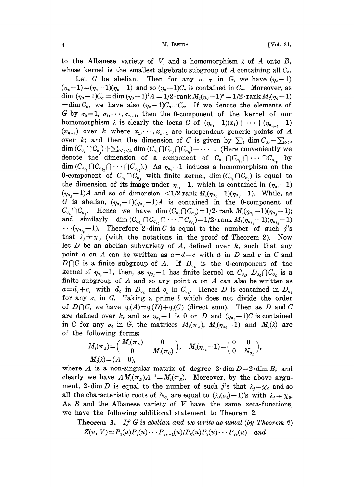4 M. ISItlDA [Vol. 34,

to the Albanese variety of V, and a homomorphism  $\lambda$  of A onto B, whose kernel is the smallest algebraic subgroup of A containing all  $C_{\sigma}$ .

Let G be abelian. Then for any  $\sigma$ ,  $\tau$  in G, we have  $(\eta_{\sigma}-1)$  $(\eta_{\tau}-1) = (\eta_{\tau}-1)(\eta_{\sigma}-1)$  and so  $(\eta_{\sigma}-1)C_{\tau}$  is contained in  $C_{\tau}$ . Moreover, as dim  $(\eta_{\sigma}-1)C_{\sigma} = \dim (\eta_{\sigma}-1)^2 A = 1/2 \cdot \text{rank } M_i(\eta_{\sigma}-1)^2 = 1/2 \cdot \text{rank } M_i(\eta_{\sigma}-1)$  $=\dim C_{\sigma}$ , we have also  $(\eta_{\sigma}-1)C_{\sigma}=C_{\sigma}$ . If we denote the elements of G by  $\sigma_0=1, \sigma_1,\dots,\sigma_{n-1}$ , then the 0-component of the kernel of our homomorphism  $\lambda$  is clearly the locus C of  $(\eta_{\sigma_1}-1)(x_1)+\cdots+(\eta_{\sigma_{n-1}}-1)$  $(x_{n-1})$  over k where  $x_1, \dots, x_{n-1}$  are independent generic points of A over k; and then the dimension of C is given by  $\sum_i \dim C_{\sigma_i} - \sum_{i \leq j}$  $\dim(C_{\sigma_i} \cap C_{\sigma_i}) + \sum_{i < j < h} \dim(C_{\sigma_i} \cap C_{\sigma_j} \cap C_{\sigma_h}) - \cdots$ . (Here conveniently we denote the dimension of a component of  $C_{\sigma_{i_1}} \cap C_{\sigma_{i_2}} \cap \cdots \cap C_{\sigma_{i_t}}$  by  $\dim (C_{\sigma_{i_1}} \cap C_{\sigma_{i_2}} \cap \cdots \cap C_{\sigma_{i_t}}).$  As  $\eta_{\sigma_i}-1$  induces a homomorphism on the 0-component of  $C_{\sigma_i} \cap C_{\sigma_i}$  with finite kernel, dim $(C_{\sigma_i} \cap C_{\sigma_i})$  is equal to the dimension of its image under  $\eta_{\sigma_i}-1$ , which is contained in  $(\eta_{\sigma_i}-1)$  $(\eta_{\sigma_i}-1)A$  and so of dimension  $\leq 1/2$  rank  $M_i(\eta_{\sigma_i}-1)(\eta_{\sigma_i}-1)$ . While, as G is abelian,  $(\eta_{\sigma_i}-1)(\eta_{\sigma_i}-1)A$  is contained in the 0-component of  $C_{\sigma_i} \cap C_{\sigma_i}$ . Hence we have dim  $(C_{\sigma_i} \cap C_{\sigma_i})=1/2$  rank  $M_i(\eta_{\sigma_i}-1)(\eta_{\sigma_i}-1);$ and similarly dim  $(C_{\sigma_{i_1}} \cap C_{\sigma_{i_2}} \cap \cdots \cap C_{\sigma_{i_\ell}})=1/2 \cdot \text{rank } M_i(\eta_{\sigma_{i_1}}-1)(\eta_{\sigma_{i_2}}-1)$  $\cdots(\eta_{\sigma_{i}}-1)$ . Therefore 2. dim C is equal to the number of such j's that  $\lambda_j \neq \chi_0$  (with the notations in the proof of Theorem 2). Now let  $D$  be an abelian subvariety of  $A$ , defined over  $k$ , such that any point a on A can be written as  $a = d + c$  with d in D and c in C and  $D \cap C$  is a finite subgroup of A. If  $D_{\sigma_i}$  is the 0-component of the kernel of  $\eta_{\sigma_i}-1$ , then, as  $\eta_{\sigma_i}-1$  has finite kernel on  $C_{\sigma_i}$ ,  $D_{\sigma_i}\bigcap C_{\sigma_i}$  is a finite subgroup of A and so any point  $\alpha$  on A can also be written as  $a=d_i+c_i$  with  $d_i$  in  $D_{\sigma_i}$  and  $c_i$  in  $C_{\sigma_i}$ . Hence D is contained in  $D_{\sigma_i}$ for any  $\sigma_i$  in G. Taking a prime l which does not divide the order of  $D \cap C$ , we have  $\mathfrak{g}_i(A) = \mathfrak{g}_i(D) + \mathfrak{g}_i(C)$  (direct sum). Then as D and C are defined over k, and as  $\eta_{\sigma_i}-1$  is 0 on D and  $(\eta_{\sigma_i}-1)C$  is contained in C for any  $\sigma_i$  in G, the matrices  $M_i(\pi_A)$ ,  $M_i(\eta_{\sigma_i}-1)$  and  $M_i(\lambda)$  are of the following forms:

$$
M_i(\pi_A) = \begin{pmatrix} M_i(\pi_D) & 0 \\ 0 & M_i(\pi_C) \end{pmatrix}, \quad M_i(\eta_{\sigma_i} - 1) = \begin{pmatrix} 0 & 0 \\ 0 & N_{\sigma_i} \end{pmatrix},
$$
  

$$
M_i(\lambda) = (A \quad 0),
$$

where  $\Lambda$  is a non-singular matrix of degree  $2 \cdot \dim D = 2 \cdot \dim B$ ; and clearly we have  $AM_i(\pi_p)A^{-1}=M_i(\pi_p)$ . Moreover, by the above argument, 2 dim D is equal to the number of such j's that  $\lambda_j = \chi_0$  and so all the characteristic roots of  $N_{\sigma_i}$  are equal to  $(\lambda_j(\sigma_i)-1)$ 's with  $\lambda_j \neq \chi_0$ . As  $B$  and the Albanese variety of  $V$  have the same zeta-functions, we have the following additional statement to Theorem 2.

**Theorem 3.** If G is abelian and we write as usual (by Theorem 2)  $Z(u, V) = P_1(u)P_2(u) \cdots P_{2r-1}(u)/P_0(u)P_2(u) \cdots P_{2r}(u)$  and